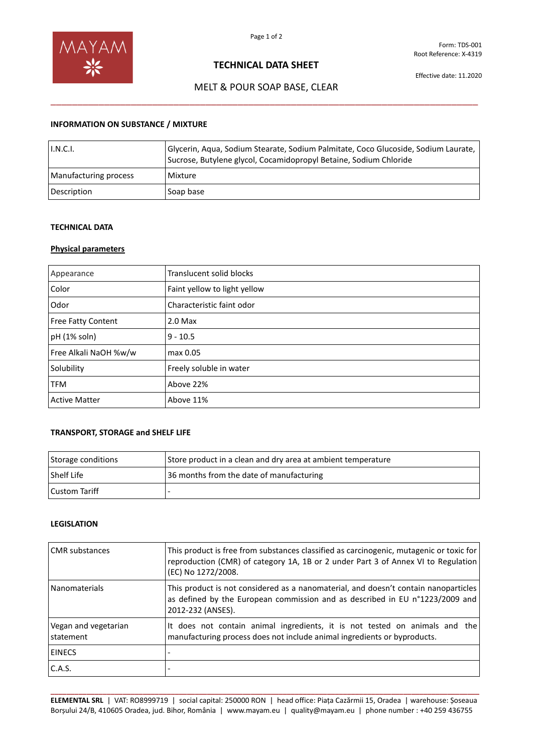

Form: TDS-001 Root Reference: X-4319

## **TECHNICAL DATA SHEET**

Effective date: 11.2020

# MELT & POUR SOAP BASE, CLEAR \_\_\_\_\_\_\_\_\_\_\_\_\_\_\_\_\_\_\_\_\_\_\_\_\_\_\_\_\_\_\_\_\_\_\_\_\_\_\_\_\_\_\_\_\_\_\_\_\_\_\_\_\_\_\_\_\_\_\_\_\_\_\_\_\_\_\_\_\_\_\_\_\_\_\_\_\_\_\_\_

## **INFORMATION ON SUBSTANCE / MIXTURE**

| I.N.C.I.              | Glycerin, Aqua, Sodium Stearate, Sodium Palmitate, Coco Glucoside, Sodium Laurate, I<br>Sucrose, Butylene glycol, Cocamidopropyl Betaine, Sodium Chloride |
|-----------------------|-----------------------------------------------------------------------------------------------------------------------------------------------------------|
| Manufacturing process | Mixture                                                                                                                                                   |
| Description           | Soap base                                                                                                                                                 |

#### **TECHNICAL DATA**

## **Physical parameters**

| Appearance                | Translucent solid blocks     |
|---------------------------|------------------------------|
| Color                     | Faint yellow to light yellow |
| Odor                      | Characteristic faint odor    |
| <b>Free Fatty Content</b> | $2.0$ Max                    |
| pH (1% soln)              | $9 - 10.5$                   |
| Free Alkali NaOH %w/w     | max 0.05                     |
| Solubility                | Freely soluble in water      |
| <b>TFM</b>                | Above 22%                    |
| <b>Active Matter</b>      | Above 11%                    |

### **TRANSPORT, STORAGE and SHELF LIFE**

| Storage conditions   | Store product in a clean and dry area at ambient temperature |
|----------------------|--------------------------------------------------------------|
| <b>Shelf Life</b>    | 36 months from the date of manufacturing                     |
| <b>Custom Tariff</b> |                                                              |

### **LEGISLATION**

| <b>CMR</b> substances             | This product is free from substances classified as carcinogenic, mutagenic or toxic for<br>reproduction (CMR) of category 1A, 1B or 2 under Part 3 of Annex VI to Regulation<br>(EC) No 1272/2008. |
|-----------------------------------|----------------------------------------------------------------------------------------------------------------------------------------------------------------------------------------------------|
| Nanomaterials                     | This product is not considered as a nanomaterial, and doesn't contain nanoparticles<br>as defined by the European commission and as described in EU n°1223/2009 and<br>2012-232 (ANSES).           |
| Vegan and vegetarian<br>statement | It does not contain animal ingredients, it is not tested on animals and the<br>manufacturing process does not include animal ingredients or byproducts.                                            |
| <b>EINECS</b>                     |                                                                                                                                                                                                    |
| C.A.S.                            |                                                                                                                                                                                                    |

**\_\_\_\_\_\_\_\_\_\_\_\_\_\_\_\_\_\_\_\_\_\_\_\_\_\_\_\_\_\_\_\_\_\_\_\_\_\_\_\_\_\_\_\_\_\_\_\_\_\_\_\_\_\_\_\_\_\_\_\_\_\_\_\_\_\_\_\_\_\_\_\_\_\_\_\_\_\_\_\_\_\_\_\_\_\_\_\_\_\_\_\_\_\_\_\_\_\_\_\_\_\_\_\_\_\_\_ ELEMENTAL SRL** | VAT: RO8999719 | social capital: 250000 RON | head office: Piața Cazărmii 15, Oradea | warehouse: Șoseaua Borșului 24/B, 410605 Oradea, jud. Bihor, România | www.mayam.eu | quality@mayam.eu | phone number : +40 259 436755